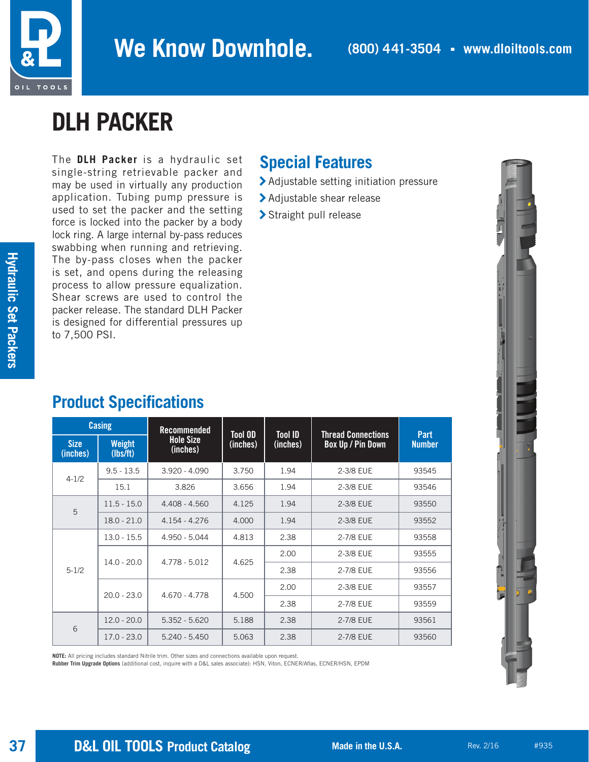

## We Know Downhole. **(800) 441-3504 · www.dloiltools.com**

# **DLH PACKER**

The **DLH Packer** is a hydraulic set single-string retrievable packer and may be used in virtually any production application. Tubing pump pressure is used to set the packer and the setting force is locked into the packer by a body lock ring. A large internal by-pass reduces swabbing when running and retrieving. The by-pass closes when the packer is set, and opens during the releasing process to allow pressure equalization. Shear screws are used to control the packer release. The standard DLH Packer is designed for differential pressures up to 7,500 PSI.

#### **Special Features**

- > Adjustable setting initiation pressure
- > Adjustable shear release
- > Straight pull release

| <b>Casing</b>           |                           | Recommended                  |                            | <b>Tool ID</b> | <b>Thread Connections</b> |                              |
|-------------------------|---------------------------|------------------------------|----------------------------|----------------|---------------------------|------------------------------|
| <b>Size</b><br>(inches) | <b>Weight</b><br>(lbs/ft) | <b>Hole Size</b><br>(inches) | <b>Tool OD</b><br>(inches) | (inches)       | <b>Box Up / Pin Down</b>  | <b>Part</b><br><b>Number</b> |
| $4 - 1/2$               | $9.5 - 13.5$              | $3.920 - 4.090$              | 3.750                      | 1.94           | 2-3/8 EUE                 | 93545                        |
|                         | 15.1                      | 3.826                        | 3.656                      | 1.94           | 2-3/8 EUE                 | 93546                        |
| 5                       | $11.5 - 15.0$             | $4.408 - 4.560$              | 4.125                      | 1.94           | 2-3/8 EUE                 | 93550                        |
|                         | $18.0 - 21.0$             | $4.154 - 4.276$              | 4.000                      | 1.94           | 2-3/8 EUE                 | 93552                        |
| $5 - 1/2$               | $13.0 - 15.5$             | $4.950 - 5.044$              | 4.813                      | 2.38           | 2-7/8 EUE                 | 93558                        |
|                         | $14.0 - 20.0$             | $4.778 - 5.012$              | 4.625                      | 2.00           | 2-3/8 EUE                 | 93555                        |
|                         |                           |                              |                            | 2.38           | 2-7/8 EUE                 | 93556                        |
|                         | $20.0 - 23.0$             | $4.670 - 4.778$              | 4.500                      | 2.00           | 2-3/8 EUE                 | 93557                        |
|                         |                           |                              |                            | 2.38           | 2-7/8 EUE                 | 93559                        |
| 6                       | $12.0 - 20.0$             | $5.352 - 5.620$              | 5.188                      | 2.38           | 2-7/8 EUE                 | 93561                        |
|                         | $17.0 - 23.0$             | $5.240 - 5.450$              | 5.063                      | 2.38           | 2-7/8 EUE                 | 93560                        |

#### **Product Specifications**

**NOTE:** All pricing includes standard Nitrile trim. Other sizes and connections available upon request.

**Rubber Trim Upgrade Options** (additional cost, inquire with a D&L sales associate): HSN, Viton, ECNER/Aflas, ECNER/HSN, EPDM